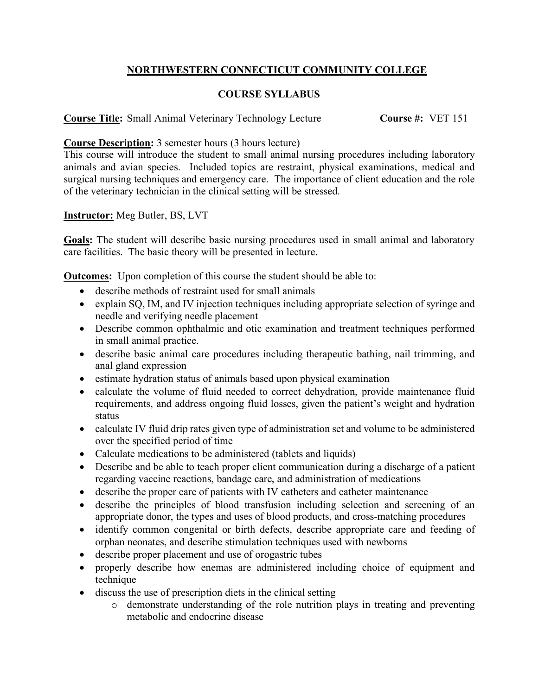## **NORTHWESTERN CONNECTICUT COMMUNITY COLLEGE**

## **COURSE SYLLABUS**

**Course Title:** Small Animal Veterinary Technology Lecture **Course #:** VET 151

**Course Description:** 3 semester hours (3 hours lecture)

This course will introduce the student to small animal nursing procedures including laboratory animals and avian species. Included topics are restraint, physical examinations, medical and surgical nursing techniques and emergency care. The importance of client education and the role of the veterinary technician in the clinical setting will be stressed.

## **Instructor:** Meg Butler, BS, LVT

**Goals:** The student will describe basic nursing procedures used in small animal and laboratory care facilities. The basic theory will be presented in lecture.

**Outcomes:** Upon completion of this course the student should be able to:

- describe methods of restraint used for small animals
- explain SQ, IM, and IV injection techniques including appropriate selection of syringe and needle and verifying needle placement
- Describe common ophthalmic and otic examination and treatment techniques performed in small animal practice.
- describe basic animal care procedures including therapeutic bathing, nail trimming, and anal gland expression
- estimate hydration status of animals based upon physical examination
- calculate the volume of fluid needed to correct dehydration, provide maintenance fluid requirements, and address ongoing fluid losses, given the patient's weight and hydration status
- calculate IV fluid drip rates given type of administration set and volume to be administered over the specified period of time
- Calculate medications to be administered (tablets and liquids)
- Describe and be able to teach proper client communication during a discharge of a patient regarding vaccine reactions, bandage care, and administration of medications
- describe the proper care of patients with IV catheters and catheter maintenance
- describe the principles of blood transfusion including selection and screening of an appropriate donor, the types and uses of blood products, and cross-matching procedures
- identify common congenital or birth defects, describe appropriate care and feeding of orphan neonates, and describe stimulation techniques used with newborns
- describe proper placement and use of orogastric tubes
- properly describe how enemas are administered including choice of equipment and technique
- discuss the use of prescription diets in the clinical setting
	- o demonstrate understanding of the role nutrition plays in treating and preventing metabolic and endocrine disease